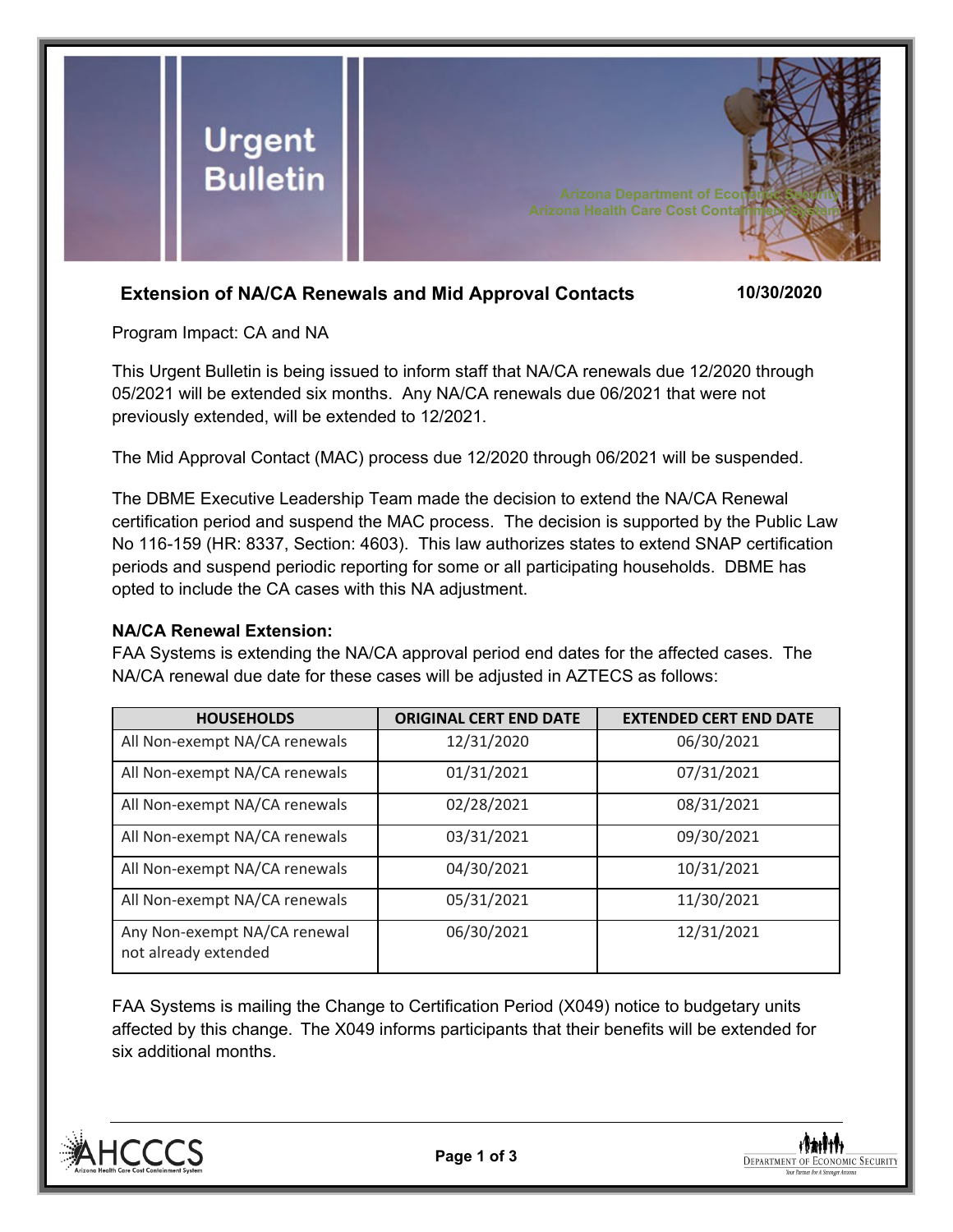

# **Extension of NA/CA Renewals and Mid Approval Contacts 10/30/2020**

Program Impact: CA and NA

This Urgent Bulletin is being issued to inform staff that NA/CA renewals due 12/2020 through 05/2021 will be extended six months. Any NA/CA renewals due 06/2021 that were not previously extended, will be extended to 12/2021.

The Mid Approval Contact (MAC) process due 12/2020 through 06/2021 will be suspended.

The DBME Executive Leadership Team made the decision to extend the NA/CA Renewal certification period and suspend the MAC process. The decision is supported by the Public Law No 116-159 (HR: 8337, Section: 4603). This law authorizes states to extend SNAP certification periods and suspend periodic reporting for some or all participating households. DBME has opted to include the CA cases with this NA adjustment.

### **NA/CA Renewal Extension:**

FAA Systems is extending the NA/CA approval period end dates for the affected cases. The NA/CA renewal due date for these cases will be adjusted in AZTECS as follows:

| <b>HOUSEHOLDS</b>                                    | <b>ORIGINAL CERT END DATE</b> | <b>EXTENDED CERT END DATE</b> |
|------------------------------------------------------|-------------------------------|-------------------------------|
| All Non-exempt NA/CA renewals                        | 12/31/2020                    | 06/30/2021                    |
| All Non-exempt NA/CA renewals                        | 01/31/2021                    | 07/31/2021                    |
| All Non-exempt NA/CA renewals                        | 02/28/2021                    | 08/31/2021                    |
| All Non-exempt NA/CA renewals                        | 03/31/2021                    | 09/30/2021                    |
| All Non-exempt NA/CA renewals                        | 04/30/2021                    | 10/31/2021                    |
| All Non-exempt NA/CA renewals                        | 05/31/2021                    | 11/30/2021                    |
| Any Non-exempt NA/CA renewal<br>not already extended | 06/30/2021                    | 12/31/2021                    |

FAA Systems is mailing the Change to Certification Period (X049) notice to budgetary units affected by this change. The X049 informs participants that their benefits will be extended for six additional months.



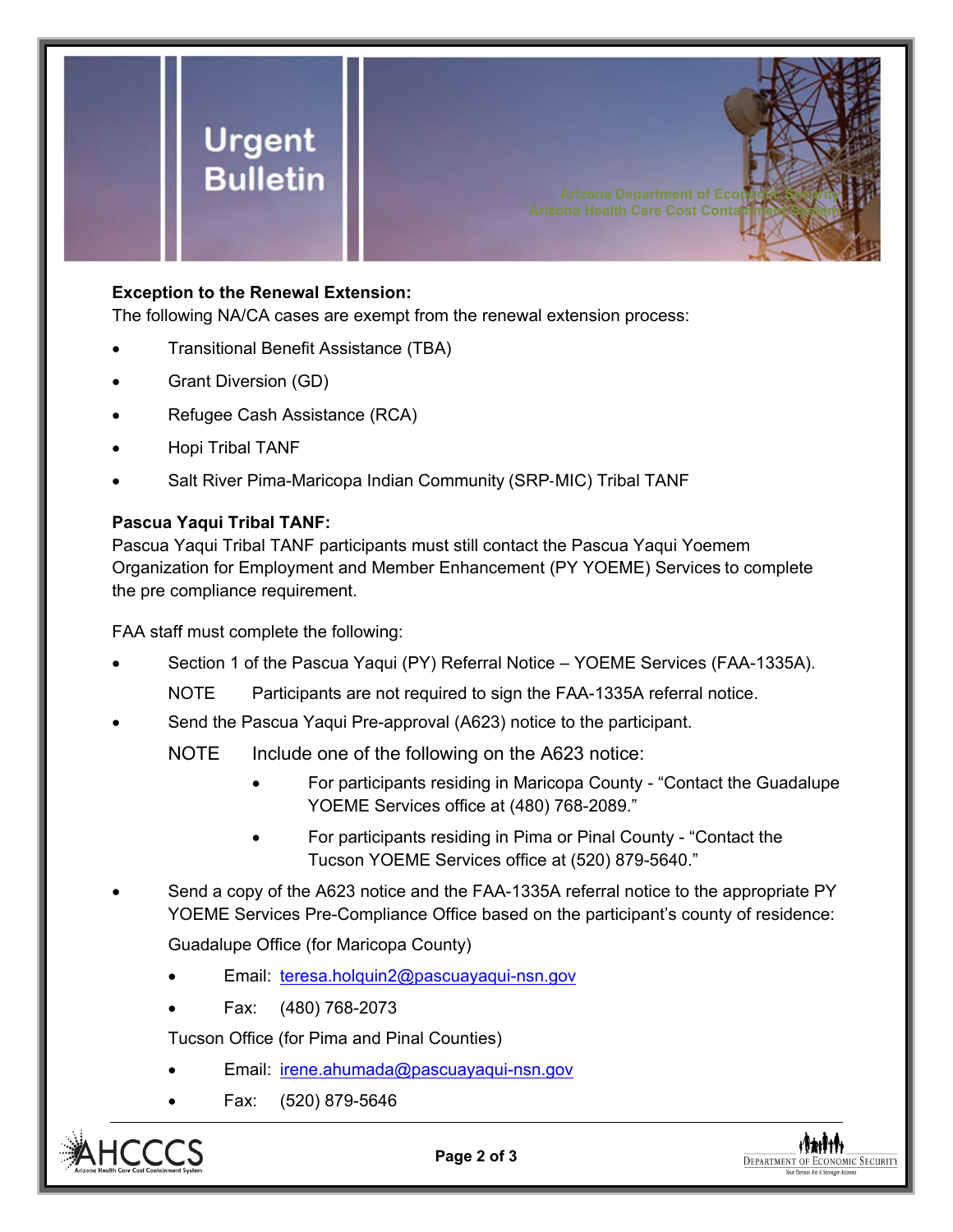

## **Exception to the Renewal Extension:**

The following NA/CA cases are exempt from the renewal extension process:

- Transitional Benefit Assistance (TBA)
- Grant Diversion (GD)
- Refugee Cash Assistance (RCA)
- Hopi Tribal TANF
- Salt River Pima-Maricopa Indian Community (SRP-MIC) Tribal TANF

## **Pascua Yaqui Tribal TANF:**

Pascua Yaqui Tribal TANF participants must still contact the Pascua Yaqui Yoemem Organization for Employment and Member Enhancement (PY YOEME) Services to complete the pre compliance requirement.

FAA staff must complete the following:

- Section 1 of the Pascua Yaqui (PY) Referral Notice YOEME Services (FAA-1335A).
	- NOTE Participants are not required to sign the FAA-1335A referral notice.
- Send the Pascua Yaqui Pre-approval (A623) notice to the participant.

NOTE Include one of the following on the A623 notice:

• For participants residing in Maricopa County - "Contact the Guadalupe YOEME Services office at (480) 768-2089."

**Arizona Health Care Cost Contait** 

- For participants residing in Pima or Pinal County "Contact the Tucson YOEME Services office at (520) 879-5640."
- Send a copy of the A623 notice and the FAA-1335A referral notice to the appropriate PY YOEME Services Pre-Compliance Office based on the participant's county of residence:

Guadalupe Office (for Maricopa County)

- Email: [teresa.holquin2@pascuayaqui-nsn.gov](mailto:teresa.holquin2@pascuayaqui-nsn.gov)
- Fax: (480) 768-2073

Tucson Office (for Pima and Pinal Counties)

- Email: [irene.ahumada@pascuayaqui-nsn.gov](mailto:irene.ahumada@pascuayaqui-nsn.gov)
- Fax: (520) 879-5646



**Page 2 of 3**